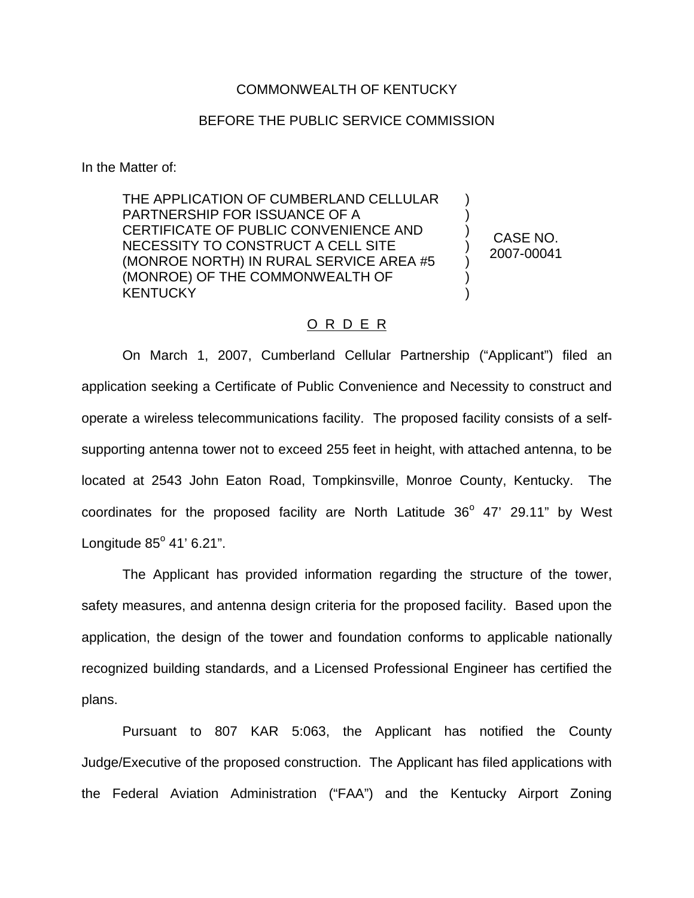## COMMONWEALTH OF KENTUCKY

## BEFORE THE PUBLIC SERVICE COMMISSION

In the Matter of:

THE APPLICATION OF CUMBERLAND CELLULAR PARTNERSHIP FOR ISSUANCE OF A CERTIFICATE OF PUBLIC CONVENIENCE AND NECESSITY TO CONSTRUCT A CELL SITE (MONROE NORTH) IN RURAL SERVICE AREA #5 (MONROE) OF THE COMMONWEALTH OF **KENTUCKY** 

CASE NO. 2007-00041

) ) ) ) ) ) )

## O R D E R

On March 1, 2007, Cumberland Cellular Partnership ("Applicant") filed an application seeking a Certificate of Public Convenience and Necessity to construct and operate a wireless telecommunications facility. The proposed facility consists of a selfsupporting antenna tower not to exceed 255 feet in height, with attached antenna, to be located at 2543 John Eaton Road, Tompkinsville, Monroe County, Kentucky. The coordinates for the proposed facility are North Latitude  $36^{\circ}$  47' 29.11" by West Longitude  $85^{\circ}$  41' 6.21".

The Applicant has provided information regarding the structure of the tower, safety measures, and antenna design criteria for the proposed facility. Based upon the application, the design of the tower and foundation conforms to applicable nationally recognized building standards, and a Licensed Professional Engineer has certified the plans.

Pursuant to 807 KAR 5:063, the Applicant has notified the County Judge/Executive of the proposed construction. The Applicant has filed applications with the Federal Aviation Administration ("FAA") and the Kentucky Airport Zoning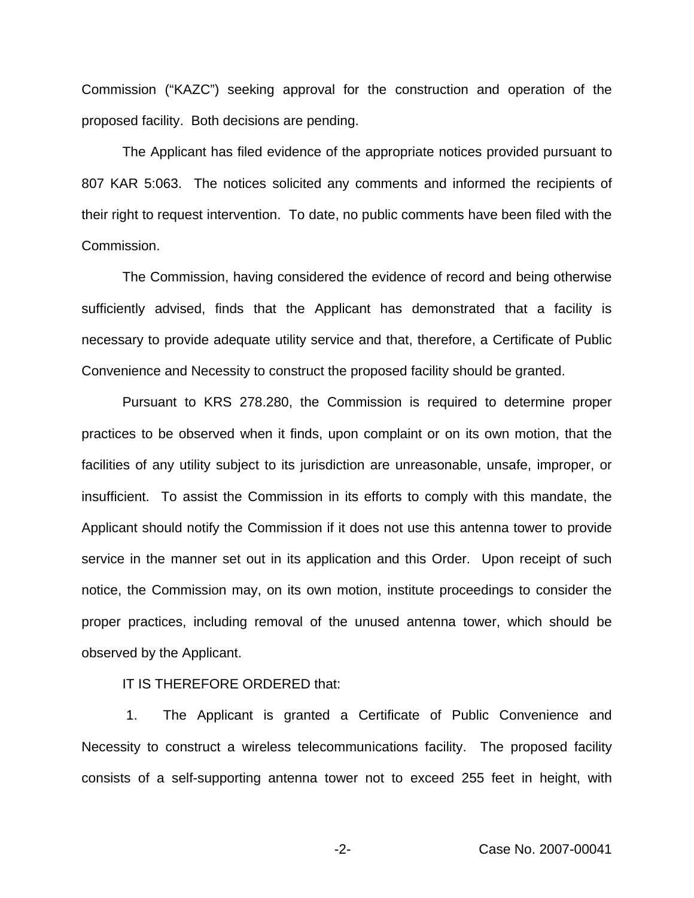Commission ("KAZC") seeking approval for the construction and operation of the proposed facility. Both decisions are pending.

The Applicant has filed evidence of the appropriate notices provided pursuant to 807 KAR 5:063. The notices solicited any comments and informed the recipients of their right to request intervention. To date, no public comments have been filed with the Commission.

The Commission, having considered the evidence of record and being otherwise sufficiently advised, finds that the Applicant has demonstrated that a facility is necessary to provide adequate utility service and that, therefore, a Certificate of Public Convenience and Necessity to construct the proposed facility should be granted.

Pursuant to KRS 278.280, the Commission is required to determine proper practices to be observed when it finds, upon complaint or on its own motion, that the facilities of any utility subject to its jurisdiction are unreasonable, unsafe, improper, or insufficient. To assist the Commission in its efforts to comply with this mandate, the Applicant should notify the Commission if it does not use this antenna tower to provide service in the manner set out in its application and this Order. Upon receipt of such notice, the Commission may, on its own motion, institute proceedings to consider the proper practices, including removal of the unused antenna tower, which should be observed by the Applicant.

IT IS THEREFORE ORDERED that:

1. The Applicant is granted a Certificate of Public Convenience and Necessity to construct a wireless telecommunications facility. The proposed facility consists of a self-supporting antenna tower not to exceed 255 feet in height, with